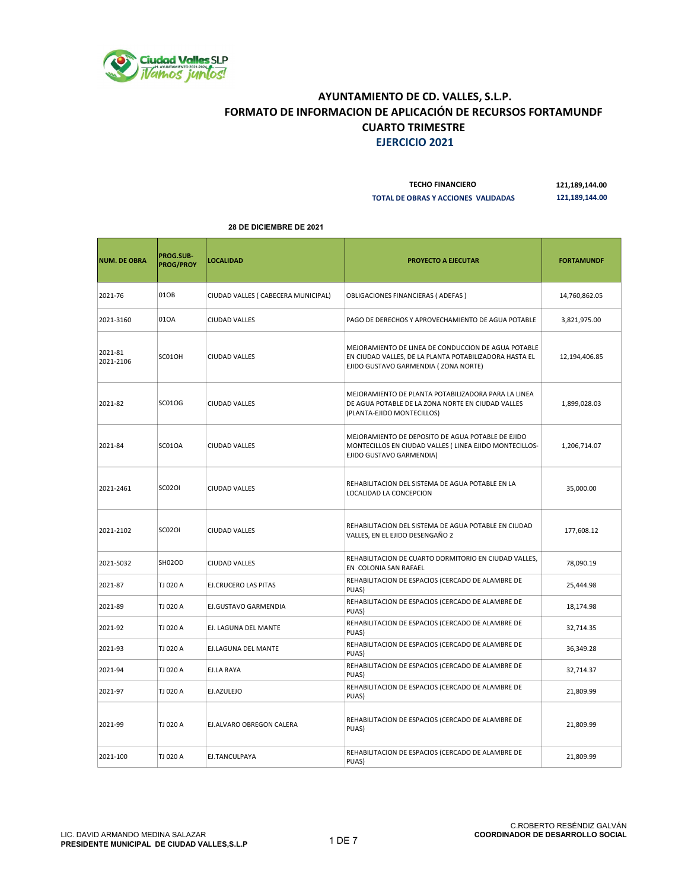

| <b>TECHO FINANCIERO</b>             | 121,189,144.00 |
|-------------------------------------|----------------|
| TOTAL DE OBRAS Y ACCIONES VALIDADAS | 121,189,144.00 |

| <b>NUM. DE OBRA</b>  | PROG.SUB-<br><b>PROG/PROY</b> | <b>LOCALIDAD</b>                    | <b>PROYECTO A EJECUTAR</b>                                                                                                                            | <b>FORTAMUNDF</b> |
|----------------------|-------------------------------|-------------------------------------|-------------------------------------------------------------------------------------------------------------------------------------------------------|-------------------|
| 2021-76              | 01OB                          | CIUDAD VALLES ( CABECERA MUNICIPAL) | OBLIGACIONES FINANCIERAS (ADEFAS)                                                                                                                     | 14,760,862.05     |
| 2021-3160            | 010A                          | <b>CIUDAD VALLES</b>                | PAGO DE DERECHOS Y APROVECHAMIENTO DE AGUA POTABLE                                                                                                    | 3,821,975.00      |
| 2021-81<br>2021-2106 | SC01OH                        | <b>CIUDAD VALLES</b>                | MEJORAMIENTO DE LINEA DE CONDUCCION DE AGUA POTABLE<br>EN CIUDAD VALLES, DE LA PLANTA POTABILIZADORA HASTA EL<br>EJIDO GUSTAVO GARMENDIA (ZONA NORTE) | 12,194,406.85     |
| 2021-82              | <b>SC01OG</b>                 | <b>CIUDAD VALLES</b>                | MEJORAMIENTO DE PLANTA POTABILIZADORA PARA LA LINEA<br>DE AGUA POTABLE DE LA ZONA NORTE EN CIUDAD VALLES<br>(PLANTA-EJIDO MONTECILLOS)                | 1,899,028.03      |
| 2021-84              | SC01OA                        | <b>CIUDAD VALLES</b>                | MEJORAMIENTO DE DEPOSITO DE AGUA POTABLE DE EJIDO<br>MONTECILLOS EN CIUDAD VALLES (LINEA EJIDO MONTECILLOS-<br>EJIDO GUSTAVO GARMENDIA)               | 1,206,714.07      |
| 2021-2461            | <b>SC02OI</b>                 | <b>CIUDAD VALLES</b>                | REHABILITACION DEL SISTEMA DE AGUA POTABLE EN LA<br>LOCALIDAD LA CONCEPCION                                                                           | 35,000.00         |
| 2021-2102            | <b>SC02OI</b>                 | <b>CIUDAD VALLES</b>                | REHABILITACION DEL SISTEMA DE AGUA POTABLE EN CIUDAD<br>VALLES, EN EL EJIDO DESENGAÑO 2                                                               | 177,608.12        |
| 2021-5032            | SH02OD                        | <b>CIUDAD VALLES</b>                | REHABILITACION DE CUARTO DORMITORIO EN CIUDAD VALLES,<br>EN COLONIA SAN RAFAEL                                                                        | 78,090.19         |
| 2021-87              | TJ 020 A                      | <b>EJ.CRUCERO LAS PITAS</b>         | REHABILITACION DE ESPACIOS (CERCADO DE ALAMBRE DE<br>PUAS)                                                                                            | 25,444.98         |
| 2021-89              | TJ 020 A                      | EJ.GUSTAVO GARMENDIA                | REHABILITACION DE ESPACIOS (CERCADO DE ALAMBRE DE<br>PUAS)                                                                                            | 18,174.98         |
| 2021-92              | TJ 020 A                      | EJ. LAGUNA DEL MANTE                | REHABILITACION DE ESPACIOS (CERCADO DE ALAMBRE DE<br>PUAS)                                                                                            | 32,714.35         |
| 2021-93              | TJ 020 A                      | EJ.LAGUNA DEL MANTE                 | REHABILITACION DE ESPACIOS (CERCADO DE ALAMBRE DE<br>PUAS)                                                                                            | 36,349.28         |
| 2021-94              | TJ 020 A                      | EJ.LA RAYA                          | REHABILITACION DE ESPACIOS (CERCADO DE ALAMBRE DE<br>PUAS)                                                                                            | 32,714.37         |
| 2021-97              | TJ 020 A                      | EJ.AZULEJO                          | REHABILITACION DE ESPACIOS (CERCADO DE ALAMBRE DE<br>PUAS)                                                                                            | 21,809.99         |
| 2021-99              | TJ 020 A                      | EJ.ALVARO OBREGON CALERA            | REHABILITACION DE ESPACIOS (CERCADO DE ALAMBRE DE<br>PUAS)                                                                                            | 21,809.99         |
| 2021-100             | TJ 020 A                      | EJ.TANCULPAYA                       | REHABILITACION DE ESPACIOS (CERCADO DE ALAMBRE DE<br>PUAS)                                                                                            | 21,809.99         |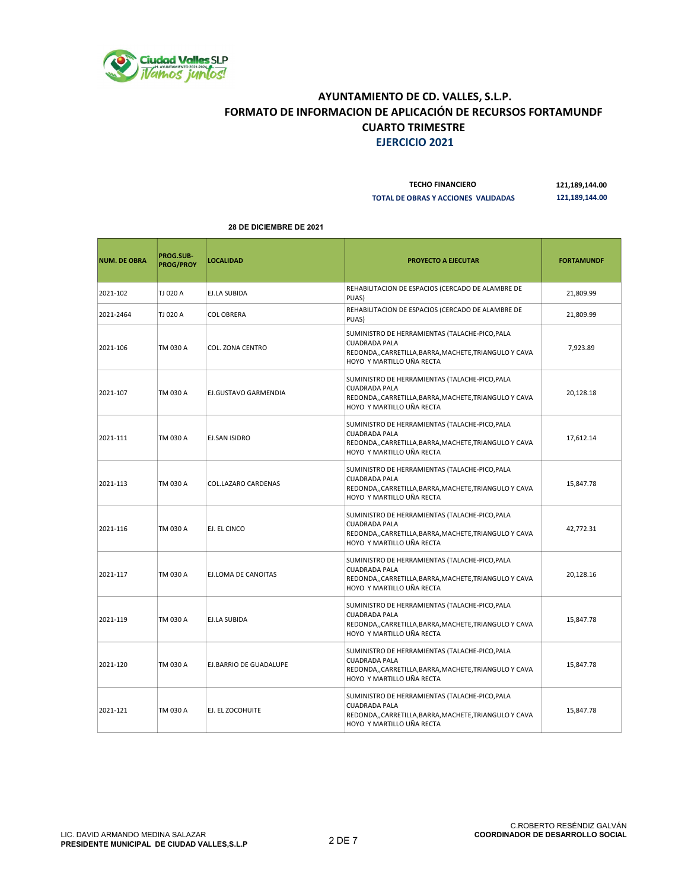

| <b>TECHO FINANCIERO</b>             | 121,189,144.00 |
|-------------------------------------|----------------|
| TOTAL DE OBRAS Y ACCIONES VALIDADAS | 121,189,144.00 |

| <b>NUM. DE OBRA</b> | PROG.SUB-<br><b>PROG/PROY</b> | <b>LOCALIDAD</b>           | <b>PROYECTO A EJECUTAR</b>                                                                                                                                    | <b>FORTAMUNDF</b> |
|---------------------|-------------------------------|----------------------------|---------------------------------------------------------------------------------------------------------------------------------------------------------------|-------------------|
| 2021-102            | TJ 020 A                      | <b>EJ.LA SUBIDA</b>        | REHABILITACION DE ESPACIOS (CERCADO DE ALAMBRE DE<br>PUAS)                                                                                                    | 21,809.99         |
| 2021-2464           | TJ 020 A                      | <b>COL OBRERA</b>          | REHABILITACION DE ESPACIOS (CERCADO DE ALAMBRE DE<br>PUAS)                                                                                                    | 21,809.99         |
| 2021-106            | TM 030 A                      | COL. ZONA CENTRO           | SUMINISTRO DE HERRAMIENTAS (TALACHE-PICO, PALA<br><b>CUADRADA PALA</b><br>REDONDA,, CARRETILLA, BARRA, MACHETE, TRIANGULO Y CAVA<br>HOYO Y MARTILLO UÑA RECTA | 7,923.89          |
| 2021-107            | TM 030 A                      | EJ.GUSTAVO GARMENDIA       | SUMINISTRO DE HERRAMIENTAS (TALACHE-PICO, PALA<br><b>CUADRADA PALA</b><br>REDONDA,, CARRETILLA, BARRA, MACHETE, TRIANGULO Y CAVA<br>HOYO Y MARTILLO UÑA RECTA | 20,128.18         |
| 2021-111            | TM 030 A                      | <b>EJ.SAN ISIDRO</b>       | SUMINISTRO DE HERRAMIENTAS (TALACHE-PICO, PALA<br><b>CUADRADA PALA</b><br>REDONDA,, CARRETILLA, BARRA, MACHETE, TRIANGULO Y CAVA<br>HOYO Y MARTILLO UÑA RECTA | 17,612.14         |
| 2021-113            | TM 030 A                      | <b>COL.LAZARO CARDENAS</b> | SUMINISTRO DE HERRAMIENTAS (TALACHE-PICO, PALA<br><b>CUADRADA PALA</b><br>REDONDA,,CARRETILLA,BARRA,MACHETE,TRIANGULO Y CAVA<br>HOYO Y MARTILLO UÑA RECTA     | 15,847.78         |
| 2021-116            | TM 030 A                      | EJ. EL CINCO               | SUMINISTRO DE HERRAMIENTAS (TALACHE-PICO, PALA<br><b>CUADRADA PALA</b><br>REDONDA,, CARRETILLA, BARRA, MACHETE, TRIANGULO Y CAVA<br>HOYO Y MARTILLO UÑA RECTA | 42,772.31         |
| 2021-117            | TM 030 A                      | EJ.LOMA DE CANOITAS        | SUMINISTRO DE HERRAMIENTAS (TALACHE-PICO, PALA<br><b>CUADRADA PALA</b><br>REDONDA,, CARRETILLA, BARRA, MACHETE, TRIANGULO Y CAVA<br>HOYO Y MARTILLO UÑA RECTA | 20,128.16         |
| 2021-119            | TM 030 A                      | EJ.LA SUBIDA               | SUMINISTRO DE HERRAMIENTAS (TALACHE-PICO, PALA<br><b>CUADRADA PALA</b><br>REDONDA,, CARRETILLA, BARRA, MACHETE, TRIANGULO Y CAVA<br>HOYO Y MARTILLO UÑA RECTA | 15,847.78         |
| 2021-120            | TM 030 A                      | EJ.BARRIO DE GUADALUPE     | SUMINISTRO DE HERRAMIENTAS (TALACHE-PICO, PALA<br><b>CUADRADA PALA</b><br>REDONDA,, CARRETILLA, BARRA, MACHETE, TRIANGULO Y CAVA<br>HOYO Y MARTILLO UÑA RECTA | 15,847.78         |
| 2021-121            | TM 030 A                      | EJ. EL ZOCOHUITE           | SUMINISTRO DE HERRAMIENTAS (TALACHE-PICO, PALA<br><b>CUADRADA PALA</b><br>REDONDA,,CARRETILLA,BARRA,MACHETE,TRIANGULO Y CAVA<br>HOYO Y MARTILLO UÑA RECTA     | 15,847.78         |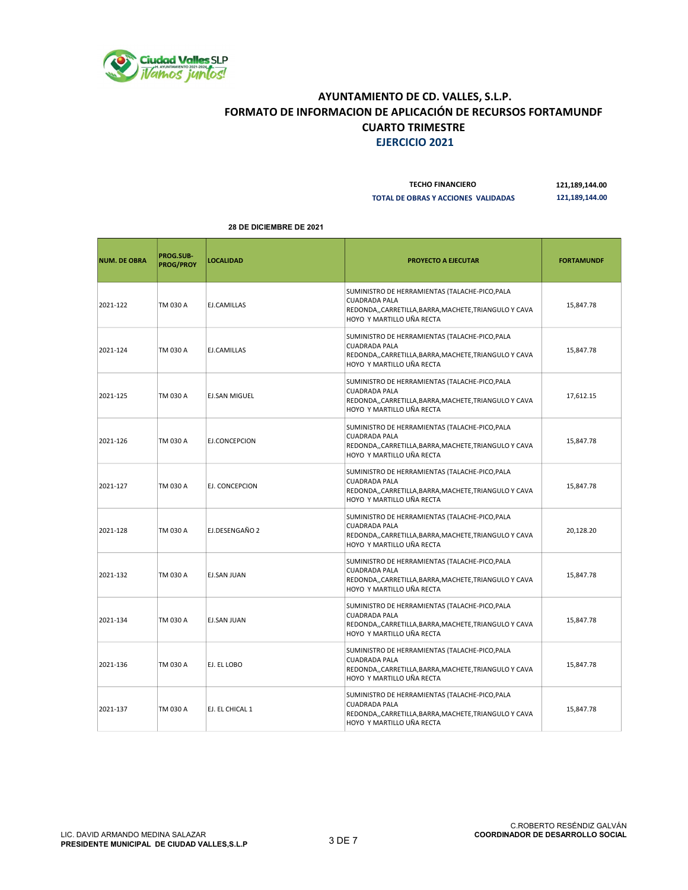

| <b>TECHO FINANCIERO</b>             | 121,189,144.00 |
|-------------------------------------|----------------|
| TOTAL DE OBRAS Y ACCIONES VALIDADAS | 121.189.144.00 |

| <b>NUM. DE OBRA</b> | PROG.SUB-<br><b>PROG/PROY</b> | <b>LOCALIDAD</b>     | PROYECTO A EJECUTAR                                                                                                                                           | <b>FORTAMUNDF</b> |
|---------------------|-------------------------------|----------------------|---------------------------------------------------------------------------------------------------------------------------------------------------------------|-------------------|
| 2021-122            | TM 030 A                      | EJ.CAMILLAS          | SUMINISTRO DE HERRAMIENTAS (TALACHE-PICO, PALA<br><b>CUADRADA PALA</b><br>REDONDA,, CARRETILLA, BARRA, MACHETE, TRIANGULO Y CAVA<br>HOYO Y MARTILLO UÑA RECTA | 15,847.78         |
| 2021-124            | TM 030 A                      | EJ.CAMILLAS          | SUMINISTRO DE HERRAMIENTAS (TALACHE-PICO, PALA<br><b>CUADRADA PALA</b><br>REDONDA,, CARRETILLA, BARRA, MACHETE, TRIANGULO Y CAVA<br>HOYO Y MARTILLO UÑA RECTA | 15,847.78         |
| 2021-125            | TM 030 A                      | <b>EJ.SAN MIGUEL</b> | SUMINISTRO DE HERRAMIENTAS (TALACHE-PICO, PALA<br><b>CUADRADA PALA</b><br>REDONDA,, CARRETILLA, BARRA, MACHETE, TRIANGULO Y CAVA<br>HOYO Y MARTILLO UÑA RECTA | 17,612.15         |
| 2021-126            | TM 030 A                      | EJ.CONCEPCION        | SUMINISTRO DE HERRAMIENTAS (TALACHE-PICO, PALA<br><b>CUADRADA PALA</b><br>REDONDA,, CARRETILLA, BARRA, MACHETE, TRIANGULO Y CAVA<br>HOYO Y MARTILLO UÑA RECTA | 15,847.78         |
| 2021-127            | TM 030 A                      | EJ. CONCEPCION       | SUMINISTRO DE HERRAMIENTAS (TALACHE-PICO, PALA<br><b>CUADRADA PALA</b><br>REDONDA,, CARRETILLA, BARRA, MACHETE, TRIANGULO Y CAVA<br>HOYO Y MARTILLO UÑA RECTA | 15,847.78         |
| 2021-128            | TM 030 A                      | EJ.DESENGAÑO 2       | SUMINISTRO DE HERRAMIENTAS (TALACHE-PICO, PALA<br><b>CUADRADA PALA</b><br>REDONDA,, CARRETILLA, BARRA, MACHETE, TRIANGULO Y CAVA<br>HOYO Y MARTILLO UÑA RECTA | 20,128.20         |
| 2021-132            | TM 030 A                      | <b>EJ.SAN JUAN</b>   | SUMINISTRO DE HERRAMIENTAS (TALACHE-PICO, PALA<br><b>CUADRADA PALA</b><br>REDONDA,, CARRETILLA, BARRA, MACHETE, TRIANGULO Y CAVA<br>HOYO Y MARTILLO UÑA RECTA | 15,847.78         |
| 2021-134            | TM 030 A                      | EJ.SAN JUAN          | SUMINISTRO DE HERRAMIENTAS (TALACHE-PICO, PALA<br><b>CUADRADA PALA</b><br>REDONDA,,CARRETILLA,BARRA,MACHETE,TRIANGULO Y CAVA<br>HOYO Y MARTILLO UÑA RECTA     | 15,847.78         |
| 2021-136            | TM 030 A                      | EJ. EL LOBO          | SUMINISTRO DE HERRAMIENTAS (TALACHE-PICO, PALA<br><b>CUADRADA PALA</b><br>REDONDA,, CARRETILLA, BARRA, MACHETE, TRIANGULO Y CAVA<br>HOYO Y MARTILLO UÑA RECTA | 15,847.78         |
| 2021-137            | TM 030 A                      | EJ. EL CHICAL 1      | SUMINISTRO DE HERRAMIENTAS (TALACHE-PICO, PALA<br><b>CUADRADA PALA</b><br>REDONDA,, CARRETILLA, BARRA, MACHETE, TRIANGULO Y CAVA<br>HOYO Y MARTILLO UÑA RECTA | 15,847.78         |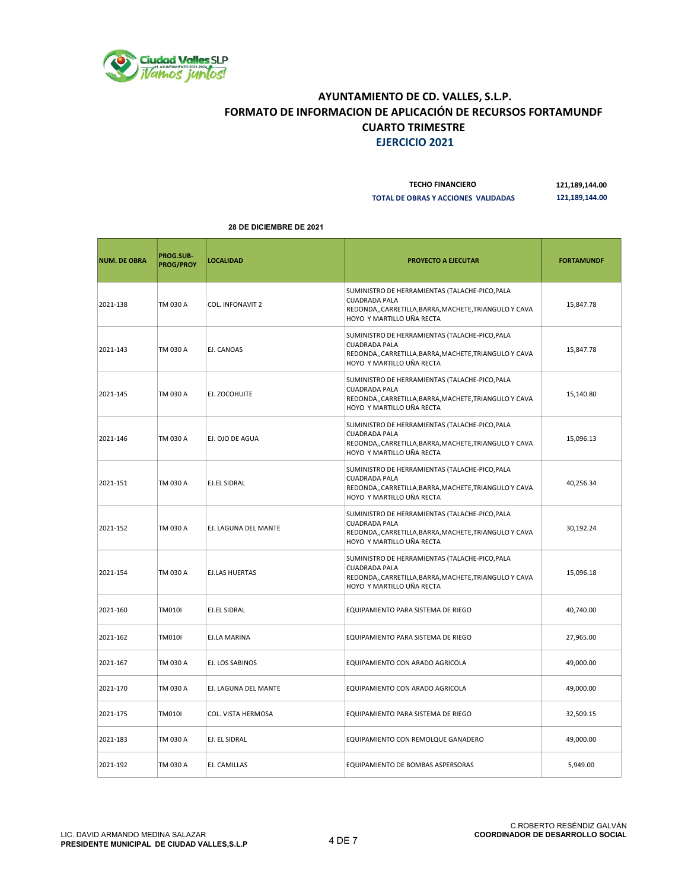

| <b>TECHO FINANCIERO</b>             | 121,189,144.00 |
|-------------------------------------|----------------|
| TOTAL DE OBRAS Y ACCIONES VALIDADAS | 121,189,144.00 |

| <b>NUM. DE OBRA</b> | PROG.SUB-<br><b>PROG/PROY</b> | <b>LOCALIDAD</b>      | <b>PROYECTO A EJECUTAR</b>                                                                                                                                    | <b>FORTAMUNDF</b> |
|---------------------|-------------------------------|-----------------------|---------------------------------------------------------------------------------------------------------------------------------------------------------------|-------------------|
| 2021-138            | TM 030 A                      | COL. INFONAVIT 2      | SUMINISTRO DE HERRAMIENTAS (TALACHE-PICO, PALA<br><b>CUADRADA PALA</b><br>REDONDA,, CARRETILLA, BARRA, MACHETE, TRIANGULO Y CAVA<br>HOYO Y MARTILLO UÑA RECTA | 15,847.78         |
| 2021-143            | TM 030 A                      | EJ. CANOAS            | SUMINISTRO DE HERRAMIENTAS (TALACHE-PICO, PALA<br><b>CUADRADA PALA</b><br>REDONDA,, CARRETILLA, BARRA, MACHETE, TRIANGULO Y CAVA<br>HOYO Y MARTILLO UÑA RECTA | 15,847.78         |
| 2021-145            | TM 030 A                      | EJ. ZOCOHUITE         | SUMINISTRO DE HERRAMIENTAS (TALACHE-PICO, PALA<br><b>CUADRADA PALA</b><br>REDONDA,,CARRETILLA,BARRA,MACHETE,TRIANGULO Y CAVA<br>HOYO Y MARTILLO UÑA RECTA     | 15,140.80         |
| 2021-146            | TM 030 A                      | EJ. OJO DE AGUA       | SUMINISTRO DE HERRAMIENTAS (TALACHE-PICO, PALA<br><b>CUADRADA PALA</b><br>REDONDA,, CARRETILLA, BARRA, MACHETE, TRIANGULO Y CAVA<br>HOYO Y MARTILLO UÑA RECTA | 15,096.13         |
| 2021-151            | TM 030 A                      | EJ.EL SIDRAL          | SUMINISTRO DE HERRAMIENTAS (TALACHE-PICO, PALA<br><b>CUADRADA PALA</b><br>REDONDA,,CARRETILLA,BARRA,MACHETE,TRIANGULO Y CAVA<br>HOYO Y MARTILLO UÑA RECTA     | 40,256.34         |
| 2021-152            | TM 030 A                      | EJ. LAGUNA DEL MANTE  | SUMINISTRO DE HERRAMIENTAS (TALACHE-PICO, PALA<br><b>CUADRADA PALA</b><br>REDONDA,, CARRETILLA, BARRA, MACHETE, TRIANGULO Y CAVA<br>HOYO Y MARTILLO UÑA RECTA | 30,192.24         |
| 2021-154            | TM 030 A                      | <b>EJ.LAS HUERTAS</b> | SUMINISTRO DE HERRAMIENTAS (TALACHE-PICO, PALA<br><b>CUADRADA PALA</b><br>REDONDA,, CARRETILLA, BARRA, MACHETE, TRIANGULO Y CAVA<br>HOYO Y MARTILLO UÑA RECTA | 15,096.18         |
| 2021-160            | <b>TM010I</b>                 | EJ.EL SIDRAL          | EQUIPAMIENTO PARA SISTEMA DE RIEGO                                                                                                                            | 40,740.00         |
| 2021-162            | <b>TM010I</b>                 | EJ.LA MARINA          | EQUIPAMIENTO PARA SISTEMA DE RIEGO                                                                                                                            | 27,965.00         |
| 2021-167            | TM 030 A                      | EJ. LOS SABINOS       | EQUIPAMIENTO CON ARADO AGRICOLA                                                                                                                               | 49,000.00         |
| 2021-170            | TM 030 A                      | EJ. LAGUNA DEL MANTE  | EQUIPAMIENTO CON ARADO AGRICOLA                                                                                                                               | 49,000.00         |
| 2021-175            | <b>TM010I</b>                 | COL. VISTA HERMOSA    | EQUIPAMIENTO PARA SISTEMA DE RIEGO                                                                                                                            | 32,509.15         |
| 2021-183            | TM 030 A                      | EJ. EL SIDRAL         | EQUIPAMIENTO CON REMOLQUE GANADERO                                                                                                                            | 49,000.00         |
| 2021-192            | TM 030 A                      | EJ. CAMILLAS          | EQUIPAMIENTO DE BOMBAS ASPERSORAS                                                                                                                             | 5,949.00          |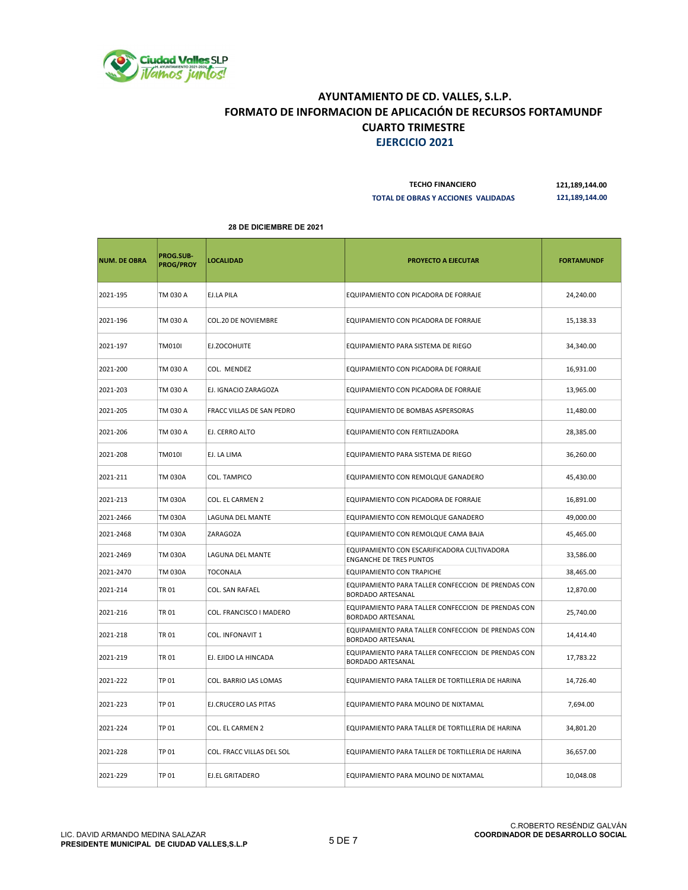

| <b>TECHO FINANCIERO</b>             | 121.189.144.00 |
|-------------------------------------|----------------|
| TOTAL DE OBRAS Y ACCIONES VALIDADAS | 121.189.144.00 |

|  | <b>28 DE DICIEMBRE DE 2021</b> |  |  |  |
|--|--------------------------------|--|--|--|
|--|--------------------------------|--|--|--|

| <b>NUM. DE OBRA</b> | PROG.SUB-<br><b>PROG/PROY</b> | <b>LOCALIDAD</b>          | <b>PROYECTO A EJECUTAR</b>                                                     | <b>FORTAMUNDF</b> |
|---------------------|-------------------------------|---------------------------|--------------------------------------------------------------------------------|-------------------|
| 2021-195            | TM 030 A                      | EJ.LA PILA                | EQUIPAMIENTO CON PICADORA DE FORRAJE                                           | 24,240.00         |
| 2021-196            | TM 030 A                      | COL.20 DE NOVIEMBRE       | EQUIPAMIENTO CON PICADORA DE FORRAJE                                           | 15,138.33         |
| 2021-197            | <b>TM010I</b>                 | EJ.ZOCOHUITE              | EQUIPAMIENTO PARA SISTEMA DE RIEGO                                             | 34,340.00         |
| 2021-200            | TM 030 A                      | COL. MENDEZ               | EQUIPAMIENTO CON PICADORA DE FORRAJE                                           | 16,931.00         |
| 2021-203            | TM 030 A                      | EJ. IGNACIO ZARAGOZA      | EQUIPAMIENTO CON PICADORA DE FORRAJE                                           | 13,965.00         |
| 2021-205            | TM 030 A                      | FRACC VILLAS DE SAN PEDRO | EQUIPAMIENTO DE BOMBAS ASPERSORAS                                              | 11,480.00         |
| 2021-206            | TM 030 A                      | EJ. CERRO ALTO            | EQUIPAMIENTO CON FERTILIZADORA                                                 | 28,385.00         |
| 2021-208            | <b>TM010I</b>                 | EJ. LA LIMA               | EQUIPAMIENTO PARA SISTEMA DE RIEGO                                             | 36,260.00         |
| 2021-211            | TM 030A                       | COL. TAMPICO              | EQUIPAMIENTO CON REMOLQUE GANADERO                                             | 45,430.00         |
| 2021-213            | TM 030A                       | COL. EL CARMEN 2          | EQUIPAMIENTO CON PICADORA DE FORRAJE                                           | 16,891.00         |
| 2021-2466           | TM 030A                       | LAGUNA DEL MANTE          | EQUIPAMIENTO CON REMOLQUE GANADERO                                             | 49,000.00         |
| 2021-2468           | TM 030A                       | ZARAGOZA                  | EQUIPAMIENTO CON REMOLQUE CAMA BAJA                                            | 45,465.00         |
| 2021-2469           | TM 030A                       | LAGUNA DEL MANTE          | EQUIPAMIENTO CON ESCARIFICADORA CULTIVADORA<br><b>ENGANCHE DE TRES PUNTOS</b>  | 33,586.00         |
| 2021-2470           | TM 030A                       | TOCONALA                  | EQUIPAMIENTO CON TRAPICHE                                                      | 38,465.00         |
| 2021-214            | TR 01                         | COL. SAN RAFAEL           | EQUIPAMIENTO PARA TALLER CONFECCION DE PRENDAS CON<br>BORDADO ARTESANAL        | 12,870.00         |
| 2021-216            | TR 01                         | COL. FRANCISCO I MADERO   | EQUIPAMIENTO PARA TALLER CONFECCION DE PRENDAS CON<br>BORDADO ARTESANAL        | 25,740.00         |
| 2021-218            | TR 01                         | COL. INFONAVIT 1          | EQUIPAMIENTO PARA TALLER CONFECCION DE PRENDAS CON<br><b>BORDADO ARTESANAL</b> | 14,414.40         |
| 2021-219            | TR 01                         | EJ. EJIDO LA HINCADA      | EQUIPAMIENTO PARA TALLER CONFECCION DE PRENDAS CON<br><b>BORDADO ARTESANAL</b> | 17,783.22         |
| 2021-222            | TP 01                         | COL. BARRIO LAS LOMAS     | EQUIPAMIENTO PARA TALLER DE TORTILLERIA DE HARINA                              | 14,726.40         |
| 2021-223            | TP 01                         | EJ.CRUCERO LAS PITAS      | EQUIPAMIENTO PARA MOLINO DE NIXTAMAL                                           | 7,694.00          |
| 2021-224            | TP 01                         | COL. EL CARMEN 2          | EQUIPAMIENTO PARA TALLER DE TORTILLERIA DE HARINA                              | 34,801.20         |
| 2021-228            | TP 01                         | COL. FRACC VILLAS DEL SOL | EQUIPAMIENTO PARA TALLER DE TORTILLERIA DE HARINA                              | 36,657.00         |
| 2021-229            | TP 01                         | EJ.EL GRITADERO           | EQUIPAMIENTO PARA MOLINO DE NIXTAMAL                                           | 10,048.08         |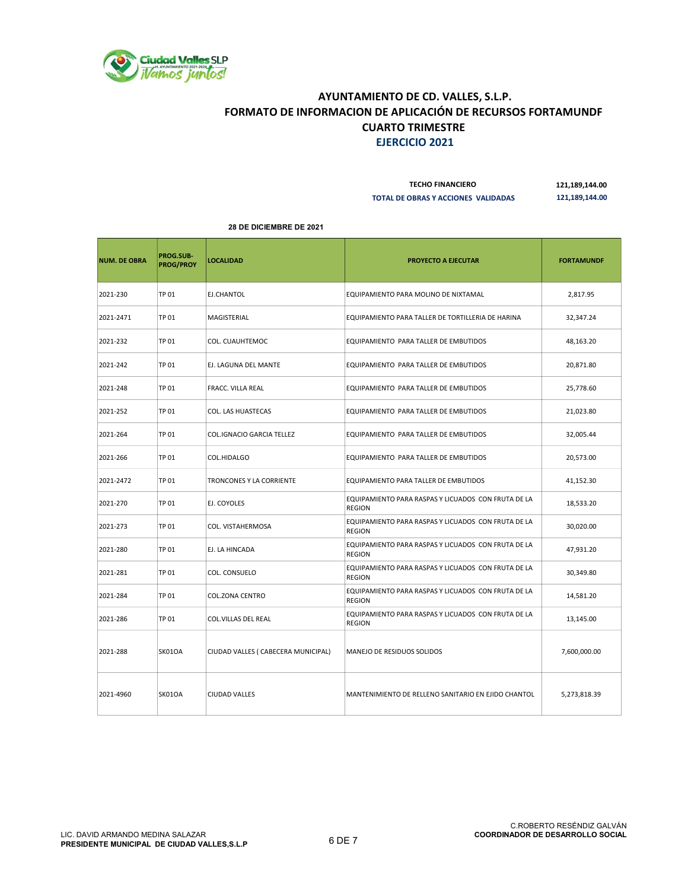

| <b>TECHO FINANCIERO</b>             | 121,189,144.00 |
|-------------------------------------|----------------|
| TOTAL DE OBRAS Y ACCIONES VALIDADAS | 121,189,144.00 |

| <b>NUM. DE OBRA</b> | PROG.SUB-<br><b>PROG/PROY</b> | <b>LOCALIDAD</b>                    | <b>PROYECTO A EJECUTAR</b>                                           | <b>FORTAMUNDF</b> |
|---------------------|-------------------------------|-------------------------------------|----------------------------------------------------------------------|-------------------|
| 2021-230            | TP 01                         | EJ.CHANTOL                          | EQUIPAMIENTO PARA MOLINO DE NIXTAMAL                                 | 2,817.95          |
| 2021-2471           | TP 01                         | MAGISTERIAL                         | EQUIPAMIENTO PARA TALLER DE TORTILLERIA DE HARINA                    | 32,347.24         |
| 2021-232            | <b>TP 01</b>                  | COL. CUAUHTEMOC                     | EQUIPAMIENTO PARA TALLER DE EMBUTIDOS                                | 48,163.20         |
| 2021-242            | TP 01                         | EJ. LAGUNA DEL MANTE                | EQUIPAMIENTO PARA TALLER DE EMBUTIDOS                                | 20,871.80         |
| 2021-248            | <b>TP 01</b>                  | <b>FRACC. VILLA REAL</b>            | EQUIPAMIENTO PARA TALLER DE EMBUTIDOS                                | 25,778.60         |
| 2021-252            | <b>TP 01</b>                  | COL. LAS HUASTECAS                  | EQUIPAMIENTO PARA TALLER DE EMBUTIDOS                                | 21,023.80         |
| 2021-264            | TP 01                         | <b>COL.IGNACIO GARCIA TELLEZ</b>    | EQUIPAMIENTO PARA TALLER DE EMBUTIDOS                                | 32,005.44         |
| 2021-266            | TP 01                         | COL.HIDALGO                         | EQUIPAMIENTO PARA TALLER DE EMBUTIDOS                                | 20,573.00         |
| 2021-2472           | <b>TP 01</b>                  | TRONCONES Y LA CORRIENTE            | EQUIPAMIENTO PARA TALLER DE EMBUTIDOS                                | 41,152.30         |
| 2021-270            | TP 01                         | EJ. COYOLES                         | EQUIPAMIENTO PARA RASPAS Y LICUADOS CON FRUTA DE LA<br><b>REGION</b> | 18,533.20         |
| 2021-273            | TP 01                         | COL. VISTAHERMOSA                   | EQUIPAMIENTO PARA RASPAS Y LICUADOS CON FRUTA DE LA<br><b>REGION</b> | 30,020.00         |
| 2021-280            | TP 01                         | EJ. LA HINCADA                      | EQUIPAMIENTO PARA RASPAS Y LICUADOS CON FRUTA DE LA<br><b>REGION</b> | 47,931.20         |
| 2021-281            | TP 01                         | COL. CONSUELO                       | EQUIPAMIENTO PARA RASPAS Y LICUADOS CON FRUTA DE LA<br><b>REGION</b> | 30,349.80         |
| 2021-284            | TP 01                         | <b>COL.ZONA CENTRO</b>              | EQUIPAMIENTO PARA RASPAS Y LICUADOS CON FRUTA DE LA<br><b>REGION</b> | 14,581.20         |
| 2021-286            | <b>TP 01</b>                  | COL.VILLAS DEL REAL                 | EQUIPAMIENTO PARA RASPAS Y LICUADOS CON FRUTA DE LA<br><b>REGION</b> | 13,145.00         |
| 2021-288            | SK01OA                        | CIUDAD VALLES ( CABECERA MUNICIPAL) | MANEJO DE RESIDUOS SOLIDOS                                           | 7,600,000.00      |
| 2021-4960           | SK01OA                        | <b>CIUDAD VALLES</b>                | MANTENIMIENTO DE RELLENO SANITARIO EN EJIDO CHANTOL                  | 5,273,818.39      |